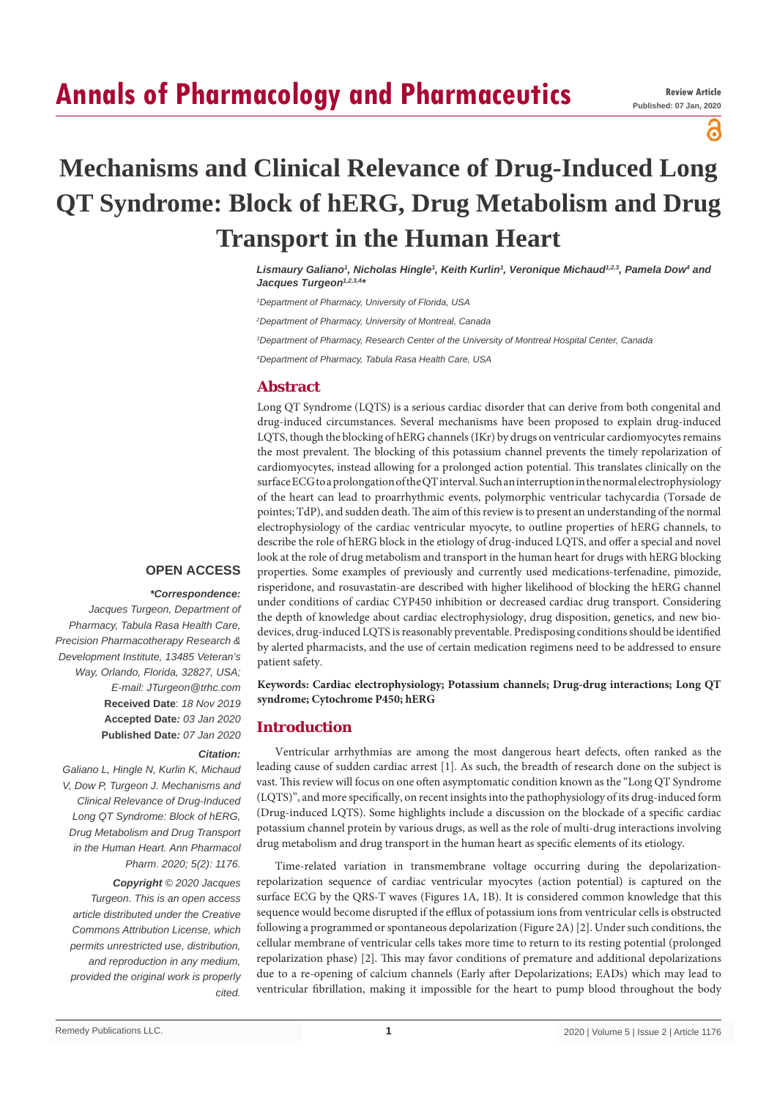# **Annals of Pharmacology and Pharmaceutics**

а

# **Mechanisms and Clinical Relevance of Drug-Induced Long QT Syndrome: Block of hERG, Drug Metabolism and Drug Transport in the Human Heart**

Lismaury Galiano<sup>1</sup>, Nicholas Hingle<sup>1</sup>, Keith Kurlin<sup>1</sup>, Veronique Michaud<sup>1,2,3</sup>, Pamela Dow<sup>4</sup> and Jacques Turgeon<sup>1,2,3,4\*</sup>

*1 Department of Pharmacy, University of Florida, USA*

*2 Department of Pharmacy, University of Montreal, Canada*

*3 Department of Pharmacy, Research Center of the University of Montreal Hospital Center, Canada*

*4 Department of Pharmacy, Tabula Rasa Health Care, USA*

## **Abstract**

Long QT Syndrome (LQTS) is a serious cardiac disorder that can derive from both congenital and drug-induced circumstances. Several mechanisms have been proposed to explain drug-induced LQTS, though the blocking of hERG channels (IKr) by drugs on ventricular cardiomyocytes remains the most prevalent. The blocking of this potassium channel prevents the timely repolarization of cardiomyocytes, instead allowing for a prolonged action potential. This translates clinically on the surface ECG to a prolongation of the QT interval. Such an interruption in the normal electrophysiology of the heart can lead to proarrhythmic events, polymorphic ventricular tachycardia (Torsade de pointes; TdP), and sudden death. The aim of this review is to present an understanding of the normal electrophysiology of the cardiac ventricular myocyte, to outline properties of hERG channels, to describe the role of hERG block in the etiology of drug-induced LQTS, and offer a special and novel look at the role of drug metabolism and transport in the human heart for drugs with hERG blocking properties. Some examples of previously and currently used medications-terfenadine, pimozide, risperidone, and rosuvastatin-are described with higher likelihood of blocking the hERG channel under conditions of cardiac CYP450 inhibition or decreased cardiac drug transport. Considering the depth of knowledge about cardiac electrophysiology, drug disposition, genetics, and new biodevices, drug-induced LQTS is reasonably preventable. Predisposing conditions should be identified by alerted pharmacists, and the use of certain medication regimens need to be addressed to ensure patient safety.

**Keywords: Cardiac electrophysiology; Potassium channels; Drug-drug interactions; Long QT syndrome; Cytochrome P450; hERG**

## **Introduction**

Ventricular arrhythmias are among the most dangerous heart defects, often ranked as the leading cause of sudden cardiac arrest [1]. As such, the breadth of research done on the subject is vast. This review will focus on one often asymptomatic condition known as the "Long QT Syndrome (LQTS)", and more specifically, on recent insights into the pathophysiology of its drug-induced form (Drug-induced LQTS). Some highlights include a discussion on the blockade of a specific cardiac potassium channel protein by various drugs, as well as the role of multi-drug interactions involving drug metabolism and drug transport in the human heart as specific elements of its etiology.

Time-related variation in transmembrane voltage occurring during the depolarizationrepolarization sequence of cardiac ventricular myocytes (action potential) is captured on the surface ECG by the QRS-T waves (Figures 1A, 1B). It is considered common knowledge that this sequence would become disrupted if the efflux of potassium ions from ventricular cells is obstructed following a programmed or spontaneous depolarization (Figure 2A) [2]. Under such conditions, the cellular membrane of ventricular cells takes more time to return to its resting potential (prolonged repolarization phase) [2]. This may favor conditions of premature and additional depolarizations due to a re-opening of calcium channels (Early after Depolarizations; EADs) which may lead to ventricular fibrillation, making it impossible for the heart to pump blood throughout the body

## **OPEN ACCESS**

### *\*Correspondence:*

*Jacques Turgeon, Department of Pharmacy, Tabula Rasa Health Care, Precision Pharmacotherapy Research & Development Institute, 13485 Veteran's Way, Orlando, Florida, 32827, USA; E-mail: JTurgeon@trhc.com* **Received Date**: *18 Nov 2019* **Accepted Date***: 03 Jan 2020* **Published Date***: 07 Jan 2020*

#### *Citation:*

*Galiano L, Hingle N, Kurlin K, Michaud V, Dow P, Turgeon J. Mechanisms and Clinical Relevance of Drug-Induced Long QT Syndrome: Block of hERG, Drug Metabolism and Drug Transport in the Human Heart. Ann Pharmacol Pharm. 2020; 5(2): 1176.*

*Copyright © 2020 Jacques Turgeon. This is an open access article distributed under the Creative Commons Attribution License, which permits unrestricted use, distribution, and reproduction in any medium, provided the original work is properly cited.*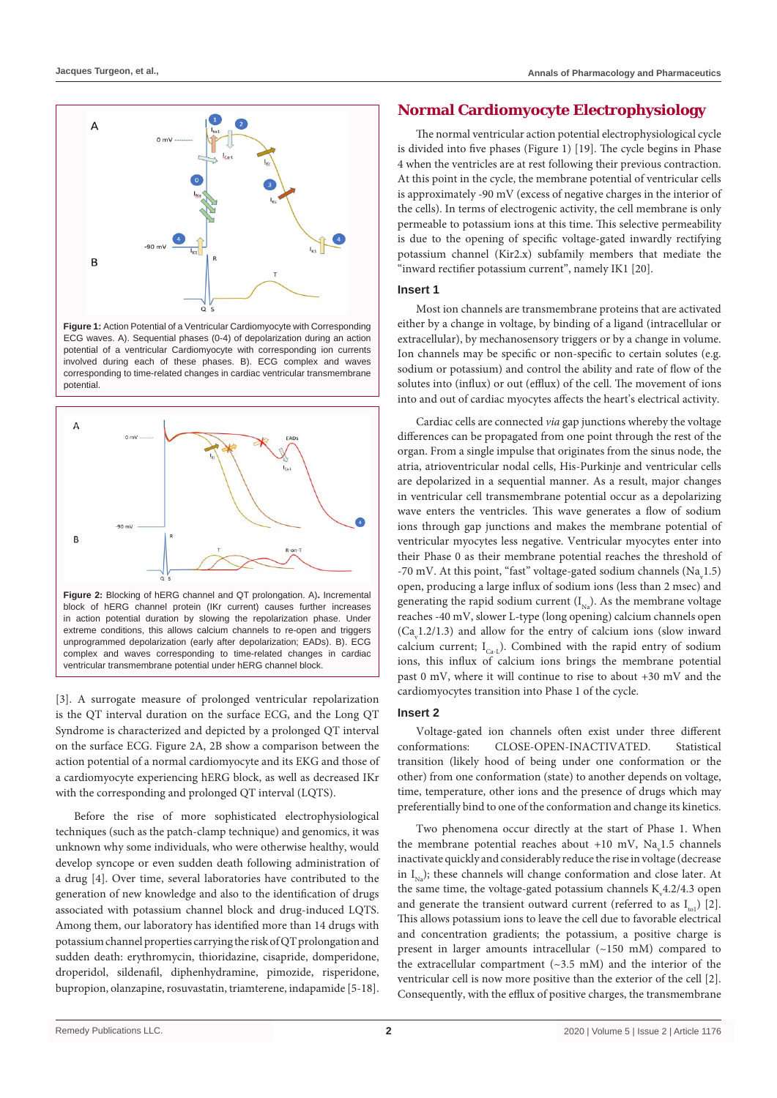

**Figure 1:** Action Potential of a Ventricular Cardiomyocyte with Corresponding ECG waves. A). Sequential phases (0-4) of depolarization during an action potential of a ventricular Cardiomyocyte with corresponding ion currents involved during each of these phases. B). ECG complex and waves corresponding to time-related changes in cardiac ventricular transmembrane potential.



in action potential duration by slowing the repolarization phase. Under extreme conditions, this allows calcium channels to re-open and triggers unprogrammed depolarization (early after depolarization; EADs). B). ECG complex and waves corresponding to time-related changes in cardiac ventricular transmembrane potential under hERG channel block.

[3]. A surrogate measure of prolonged ventricular repolarization is the QT interval duration on the surface ECG, and the Long QT Syndrome is characterized and depicted by a prolonged QT interval on the surface ECG. Figure 2A, 2B show a comparison between the action potential of a normal cardiomyocyte and its EKG and those of a cardiomyocyte experiencing hERG block, as well as decreased IKr with the corresponding and prolonged QT interval (LQTS).

Before the rise of more sophisticated electrophysiological techniques (such as the patch-clamp technique) and genomics, it was unknown why some individuals, who were otherwise healthy, would develop syncope or even sudden death following administration of a drug [4]. Over time, several laboratories have contributed to the generation of new knowledge and also to the identification of drugs associated with potassium channel block and drug-induced LQTS. Among them, our laboratory has identified more than 14 drugs with potassium channel properties carrying the risk of QT prolongation and sudden death: erythromycin, thioridazine, cisapride, domperidone, droperidol, sildenafil, diphenhydramine, pimozide, risperidone, bupropion, olanzapine, rosuvastatin, triamterene, indapamide [5-18].

# **Normal Cardiomyocyte Electrophysiology**

The normal ventricular action potential electrophysiological cycle is divided into five phases (Figure 1) [19]. The cycle begins in Phase 4 when the ventricles are at rest following their previous contraction. At this point in the cycle, the membrane potential of ventricular cells is approximately -90 mV (excess of negative charges in the interior of the cells). In terms of electrogenic activity, the cell membrane is only permeable to potassium ions at this time. This selective permeability is due to the opening of specific voltage-gated inwardly rectifying potassium channel (Kir2.x) subfamily members that mediate the "inward rectifier potassium current", namely IK1 [20].

## **Insert 1**

Most ion channels are transmembrane proteins that are activated either by a change in voltage, by binding of a ligand (intracellular or extracellular), by mechanosensory triggers or by a change in volume. Ion channels may be specific or non-specific to certain solutes (e.g. sodium or potassium) and control the ability and rate of flow of the solutes into (influx) or out (efflux) of the cell. The movement of ions into and out of cardiac myocytes affects the heart's electrical activity.

Cardiac cells are connected *via* gap junctions whereby the voltage differences can be propagated from one point through the rest of the organ. From a single impulse that originates from the sinus node, the atria, atrioventricular nodal cells, His-Purkinje and ventricular cells are depolarized in a sequential manner. As a result, major changes in ventricular cell transmembrane potential occur as a depolarizing wave enters the ventricles. This wave generates a flow of sodium ions through gap junctions and makes the membrane potential of ventricular myocytes less negative. Ventricular myocytes enter into their Phase 0 as their membrane potential reaches the threshold of -70 mV. At this point, "fast" voltage-gated sodium channels ( $Na<sub>v</sub>1.5$ ) open, producing a large influx of sodium ions (less than 2 msec) and generating the rapid sodium current  $(I_{N_a})$ . As the membrane voltage reaches -40 mV, slower L-type (long opening) calcium channels open  $(Ca<sub>v</sub>1.2/1.3)$  and allow for the entry of calcium ions (slow inward calcium current;  $I_{C_{a-1}}$ ). Combined with the rapid entry of sodium ions, this influx of calcium ions brings the membrane potential past 0 mV, where it will continue to rise to about +30 mV and the cardiomyocytes transition into Phase 1 of the cycle.

## **Insert 2**

Voltage-gated ion channels often exist under three different conformations: CLOSE-OPEN-INACTIVATED. Statistical transition (likely hood of being under one conformation or the other) from one conformation (state) to another depends on voltage, time, temperature, other ions and the presence of drugs which may preferentially bind to one of the conformation and change its kinetics.

Two phenomena occur directly at the start of Phase 1. When the membrane potential reaches about  $+10$  mV, Na<sub>v</sub>1.5 channels inactivate quickly and considerably reduce the rise in voltage (decrease in  $I_{N}$ ); these channels will change conformation and close later. At the same time, the voltage-gated potassium channels  $K_{v}4.2/4.3$  open and generate the transient outward current (referred to as  $I_{n}$ ) [2]. This allows potassium ions to leave the cell due to favorable electrical and concentration gradients; the potassium, a positive charge is present in larger amounts intracellular (~150 mM) compared to the extracellular compartment  $(\sim 3.5 \text{ mM})$  and the interior of the ventricular cell is now more positive than the exterior of the cell [2]. Consequently, with the efflux of positive charges, the transmembrane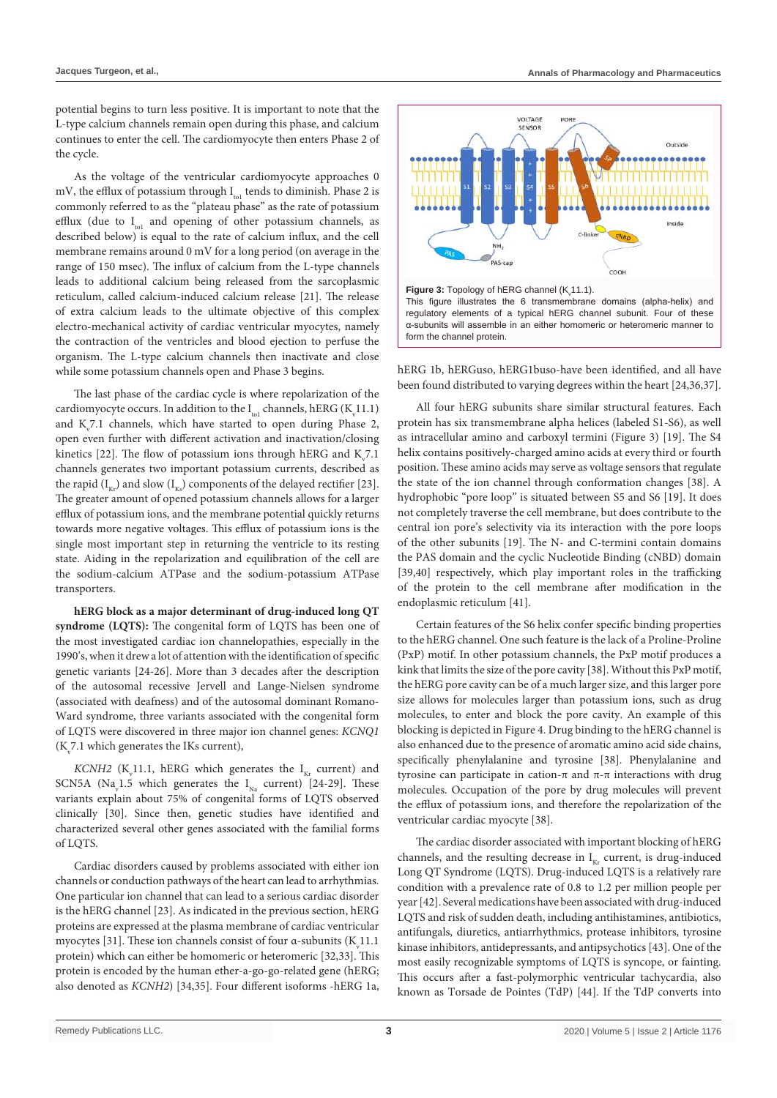potential begins to turn less positive. It is important to note that the L-type calcium channels remain open during this phase, and calcium continues to enter the cell. The cardiomyocyte then enters Phase 2 of the cycle.

As the voltage of the ventricular cardiomyocyte approaches 0 mV, the efflux of potassium through  $I_{\text{tol}}$  tends to diminish. Phase 2 is commonly referred to as the "plateau phase" as the rate of potassium efflux (due to  $I_{\text{tot}}$  and opening of other potassium channels, as described below) is equal to the rate of calcium influx, and the cell membrane remains around 0 mV for a long period (on average in the range of 150 msec). The influx of calcium from the L-type channels leads to additional calcium being released from the sarcoplasmic reticulum, called calcium-induced calcium release [21]. The release of extra calcium leads to the ultimate objective of this complex electro-mechanical activity of cardiac ventricular myocytes, namely the contraction of the ventricles and blood ejection to perfuse the organism. The L-type calcium channels then inactivate and close while some potassium channels open and Phase 3 begins.

The last phase of the cardiac cycle is where repolarization of the cardiomyocyte occurs. In addition to the  $I_{\text{tol}}$  channels, hERG (K<sub>v</sub>11.1) and  $K_v$ 7.1 channels, which have started to open during Phase 2, open even further with different activation and inactivation/closing kinetics [22]. The flow of potassium ions through hERG and  $K_v^2$ .1 channels generates two important potassium currents, described as the rapid  $(I_{K_r})$  and slow  $(I_{K_s})$  components of the delayed rectifier [23]. The greater amount of opened potassium channels allows for a larger efflux of potassium ions, and the membrane potential quickly returns towards more negative voltages. This efflux of potassium ions is the single most important step in returning the ventricle to its resting state. Aiding in the repolarization and equilibration of the cell are the sodium-calcium ATPase and the sodium-potassium ATPase transporters.

**hERG block as a major determinant of drug-induced long QT syndrome (LQTS):** The congenital form of LQTS has been one of the most investigated cardiac ion channelopathies, especially in the 1990's, when it drew a lot of attention with the identification of specific genetic variants [24-26]. More than 3 decades after the description of the autosomal recessive Jervell and Lange-Nielsen syndrome (associated with deafness) and of the autosomal dominant Romano-Ward syndrome, three variants associated with the congenital form of LQTS were discovered in three major ion channel genes: *KCNQ1*  $(K<sub>v</sub>7.1$  which generates the IKs current),

*KCNH2* ( $K_v$ 11.1, hERG which generates the  $I_{Kr}$  current) and SCN5A (Na<sub>v</sub>1.5 which generates the  $I_{Na}$  current) [24-29]. These variants explain about 75% of congenital forms of LQTS observed clinically [30]. Since then, genetic studies have identified and characterized several other genes associated with the familial forms of LQTS.

Cardiac disorders caused by problems associated with either ion channels or conduction pathways of the heart can lead to arrhythmias. One particular ion channel that can lead to a serious cardiac disorder is the hERG channel [23]. As indicated in the previous section, hERG proteins are expressed at the plasma membrane of cardiac ventricular myocytes [31]. These ion channels consist of four  $\alpha$ -subunits (K<sub>v</sub>11.1) protein) which can either be homomeric or heteromeric [32,33]. This protein is encoded by the human ether-a-go-go-related gene (hERG; also denoted as *KCNH2*) [34,35]. Four different isoforms -hERG 1a,



hERG 1b, hERGuso, hERG1buso-have been identified, and all have been found distributed to varying degrees within the heart [24,36,37].

All four hERG subunits share similar structural features. Each protein has six transmembrane alpha helices (labeled S1-S6), as well as intracellular amino and carboxyl termini (Figure 3) [19]. The S4 helix contains positively-charged amino acids at every third or fourth position. These amino acids may serve as voltage sensors that regulate the state of the ion channel through conformation changes [38]. A hydrophobic "pore loop" is situated between S5 and S6 [19]. It does not completely traverse the cell membrane, but does contribute to the central ion pore's selectivity via its interaction with the pore loops of the other subunits [19]. The N- and C-termini contain domains the PAS domain and the cyclic Nucleotide Binding (cNBD) domain [39,40] respectively, which play important roles in the trafficking of the protein to the cell membrane after modification in the endoplasmic reticulum [41].

Certain features of the S6 helix confer specific binding properties to the hERG channel. One such feature is the lack of a Proline-Proline (PxP) motif. In other potassium channels, the PxP motif produces a kink that limits the size of the pore cavity [38]. Without this PxP motif, the hERG pore cavity can be of a much larger size, and this larger pore size allows for molecules larger than potassium ions, such as drug molecules, to enter and block the pore cavity. An example of this blocking is depicted in Figure 4. Drug binding to the hERG channel is also enhanced due to the presence of aromatic amino acid side chains, specifically phenylalanine and tyrosine [38]. Phenylalanine and tyrosine can participate in cation-π and π-π interactions with drug molecules. Occupation of the pore by drug molecules will prevent the efflux of potassium ions, and therefore the repolarization of the ventricular cardiac myocyte [38].

The cardiac disorder associated with important blocking of hERG channels, and the resulting decrease in  $I_{Kr}$  current, is drug-induced Long QT Syndrome (LQTS). Drug-induced LQTS is a relatively rare condition with a prevalence rate of 0.8 to 1.2 per million people per year [42]. Several medications have been associated with drug-induced LQTS and risk of sudden death, including antihistamines, antibiotics, antifungals, diuretics, antiarrhythmics, protease inhibitors, tyrosine kinase inhibitors, antidepressants, and antipsychotics [43]. One of the most easily recognizable symptoms of LQTS is syncope, or fainting. This occurs after a fast-polymorphic ventricular tachycardia, also known as Torsade de Pointes (TdP) [44]. If the TdP converts into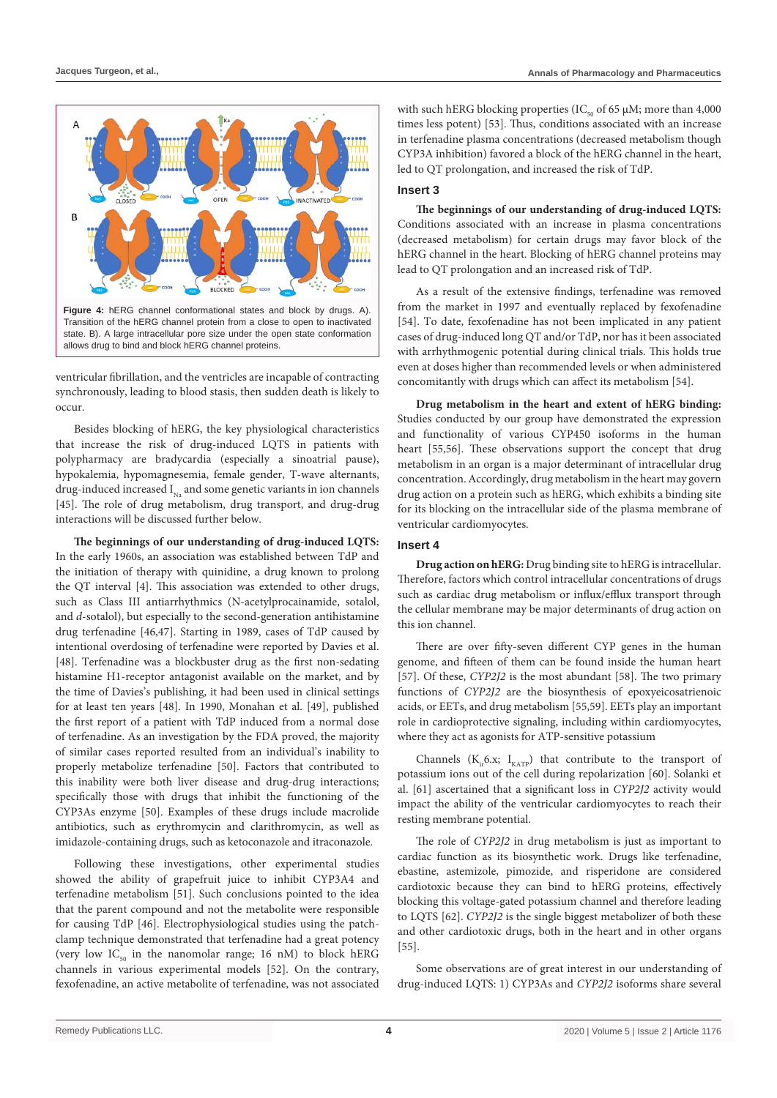

ventricular fibrillation, and the ventricles are incapable of contracting synchronously, leading to blood stasis, then sudden death is likely to occur.

Besides blocking of hERG, the key physiological characteristics that increase the risk of drug-induced LQTS in patients with polypharmacy are bradycardia (especially a sinoatrial pause), hypokalemia, hypomagnesemia, female gender, T-wave alternants, drug-induced increased  $I_{N_0}$  and some genetic variants in ion channels [45]. The role of drug metabolism, drug transport, and drug-drug interactions will be discussed further below.

**The beginnings of our understanding of drug-induced LQTS:**  In the early 1960s, an association was established between TdP and the initiation of therapy with quinidine, a drug known to prolong the QT interval [4]. This association was extended to other drugs, such as Class III antiarrhythmics (N-acetylprocainamide, sotalol, and *d*-sotalol), but especially to the second-generation antihistamine drug terfenadine [46,47]. Starting in 1989, cases of TdP caused by intentional overdosing of terfenadine were reported by Davies et al. [48]. Terfenadine was a blockbuster drug as the first non-sedating histamine H1-receptor antagonist available on the market, and by the time of Davies's publishing, it had been used in clinical settings for at least ten years [48]. In 1990, Monahan et al. [49], published the first report of a patient with TdP induced from a normal dose of terfenadine. As an investigation by the FDA proved, the majority of similar cases reported resulted from an individual's inability to properly metabolize terfenadine [50]. Factors that contributed to this inability were both liver disease and drug-drug interactions; specifically those with drugs that inhibit the functioning of the CYP3As enzyme [50]. Examples of these drugs include macrolide antibiotics, such as erythromycin and clarithromycin, as well as imidazole-containing drugs, such as ketoconazole and itraconazole.

Following these investigations, other experimental studies showed the ability of grapefruit juice to inhibit CYP3A4 and terfenadine metabolism [51]. Such conclusions pointed to the idea that the parent compound and not the metabolite were responsible for causing TdP [46]. Electrophysiological studies using the patchclamp technique demonstrated that terfenadine had a great potency (very low  $IC_{50}$  in the nanomolar range; 16 nM) to block hERG channels in various experimental models [52]. On the contrary, fexofenadine, an active metabolite of terfenadine, was not associated

with such hERG blocking properties (IC<sub>50</sub> of 65  $\mu$ M; more than 4,000 times less potent) [53]. Thus, conditions associated with an increase in terfenadine plasma concentrations (decreased metabolism though CYP3A inhibition) favored a block of the hERG channel in the heart, led to QT prolongation, and increased the risk of TdP.

#### **Insert 3**

**The beginnings of our understanding of drug-induced LQTS:**  Conditions associated with an increase in plasma concentrations (decreased metabolism) for certain drugs may favor block of the hERG channel in the heart. Blocking of hERG channel proteins may lead to QT prolongation and an increased risk of TdP.

As a result of the extensive findings, terfenadine was removed from the market in 1997 and eventually replaced by fexofenadine [54]. To date, fexofenadine has not been implicated in any patient cases of drug-induced long QT and/or TdP, nor has it been associated with arrhythmogenic potential during clinical trials. This holds true even at doses higher than recommended levels or when administered concomitantly with drugs which can affect its metabolism [54].

**Drug metabolism in the heart and extent of hERG binding:**  Studies conducted by our group have demonstrated the expression and functionality of various CYP450 isoforms in the human heart [55,56]. These observations support the concept that drug metabolism in an organ is a major determinant of intracellular drug concentration. Accordingly, drug metabolism in the heart may govern drug action on a protein such as hERG, which exhibits a binding site for its blocking on the intracellular side of the plasma membrane of ventricular cardiomyocytes.

## **Insert 4**

**Drug action on hERG:** Drug binding site to hERG is intracellular. Therefore, factors which control intracellular concentrations of drugs such as cardiac drug metabolism or influx/efflux transport through the cellular membrane may be major determinants of drug action on this ion channel.

There are over fifty-seven different CYP genes in the human genome, and fifteen of them can be found inside the human heart [57]. Of these, *CYP2J2* is the most abundant [58]. The two primary functions of *CYP2J2* are the biosynthesis of epoxyeicosatrienoic acids, or EETs, and drug metabolism [55,59]. EETs play an important role in cardioprotective signaling, including within cardiomyocytes, where they act as agonists for ATP-sensitive potassium

Channels ( $K_{ir}$ 6.x;  $I_{KATP}$ ) that contribute to the transport of potassium ions out of the cell during repolarization [60]. Solanki et al. [61] ascertained that a significant loss in *CYP2J2* activity would impact the ability of the ventricular cardiomyocytes to reach their resting membrane potential.

The role of *CYP2J2* in drug metabolism is just as important to cardiac function as its biosynthetic work. Drugs like terfenadine, ebastine, astemizole, pimozide, and risperidone are considered cardiotoxic because they can bind to hERG proteins, effectively blocking this voltage-gated potassium channel and therefore leading to LQTS [62]. *CYP2J2* is the single biggest metabolizer of both these and other cardiotoxic drugs, both in the heart and in other organs [55].

Some observations are of great interest in our understanding of drug-induced LQTS: 1) CYP3As and *CYP2J2* isoforms share several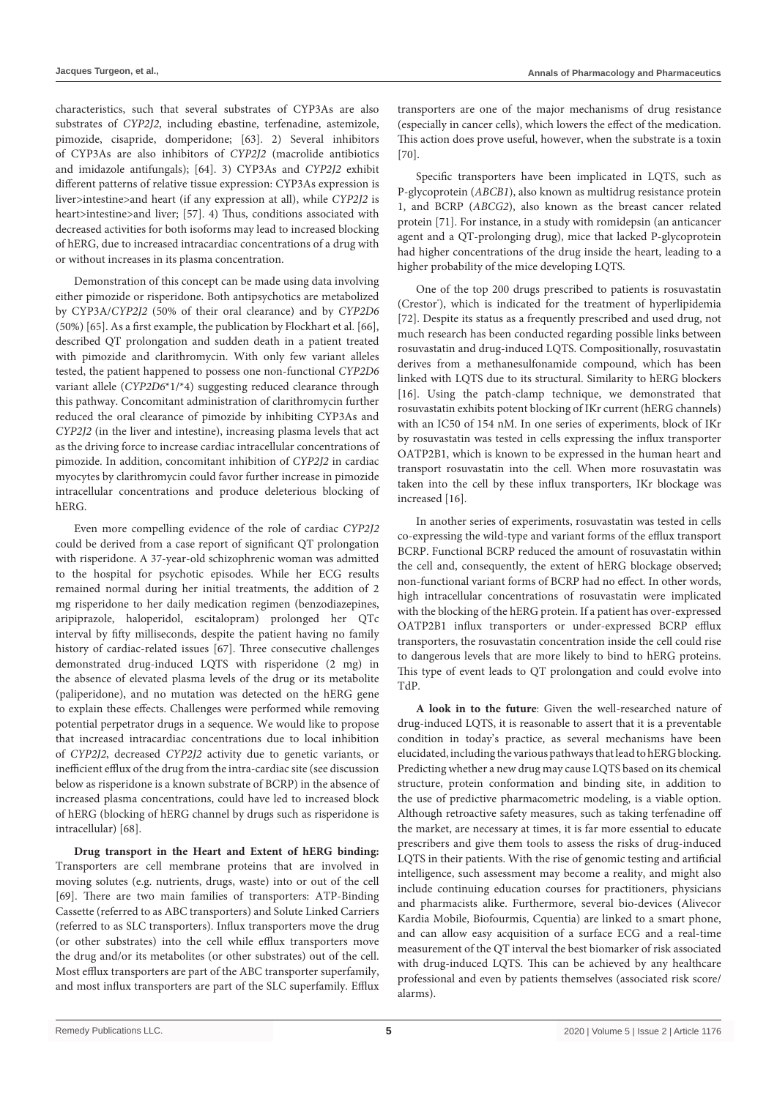characteristics, such that several substrates of CYP3As are also substrates of *CYP2J2*, including ebastine, terfenadine, astemizole, pimozide, cisapride, domperidone; [63]. 2) Several inhibitors of CYP3As are also inhibitors of *CYP2J2* (macrolide antibiotics and imidazole antifungals); [64]. 3) CYP3As and *CYP2J2* exhibit different patterns of relative tissue expression: CYP3As expression is liver>intestine>and heart (if any expression at all), while *CYP2J2* is heart>intestine>and liver; [57]. 4) Thus, conditions associated with decreased activities for both isoforms may lead to increased blocking of hERG, due to increased intracardiac concentrations of a drug with or without increases in its plasma concentration.

Demonstration of this concept can be made using data involving either pimozide or risperidone. Both antipsychotics are metabolized by CYP3A/*CYP2J2* (50% of their oral clearance) and by *CYP2D6* (50%) [65]. As a first example, the publication by Flockhart et al. [66], described QT prolongation and sudden death in a patient treated with pimozide and clarithromycin. With only few variant alleles tested, the patient happened to possess one non-functional *CYP2D6* variant allele (*CYP2D6*\*1/\*4) suggesting reduced clearance through this pathway. Concomitant administration of clarithromycin further reduced the oral clearance of pimozide by inhibiting CYP3As and *CYP2J2* (in the liver and intestine), increasing plasma levels that act as the driving force to increase cardiac intracellular concentrations of pimozide. In addition, concomitant inhibition of *CYP2J2* in cardiac myocytes by clarithromycin could favor further increase in pimozide intracellular concentrations and produce deleterious blocking of hERG.

Even more compelling evidence of the role of cardiac *CYP2J2* could be derived from a case report of significant QT prolongation with risperidone. A 37-year-old schizophrenic woman was admitted to the hospital for psychotic episodes. While her ECG results remained normal during her initial treatments, the addition of 2 mg risperidone to her daily medication regimen (benzodiazepines, aripiprazole, haloperidol, escitalopram) prolonged her QTc interval by fifty milliseconds, despite the patient having no family history of cardiac-related issues [67]. Three consecutive challenges demonstrated drug-induced LQTS with risperidone (2 mg) in the absence of elevated plasma levels of the drug or its metabolite (paliperidone), and no mutation was detected on the hERG gene to explain these effects. Challenges were performed while removing potential perpetrator drugs in a sequence. We would like to propose that increased intracardiac concentrations due to local inhibition of *CYP2J2*, decreased *CYP2J2* activity due to genetic variants, or inefficient efflux of the drug from the intra-cardiac site (see discussion below as risperidone is a known substrate of BCRP) in the absence of increased plasma concentrations, could have led to increased block of hERG (blocking of hERG channel by drugs such as risperidone is intracellular) [68].

**Drug transport in the Heart and Extent of hERG binding:**  Transporters are cell membrane proteins that are involved in moving solutes (e.g. nutrients, drugs, waste) into or out of the cell [69]. There are two main families of transporters: ATP-Binding Cassette (referred to as ABC transporters) and Solute Linked Carriers (referred to as SLC transporters). Influx transporters move the drug (or other substrates) into the cell while efflux transporters move the drug and/or its metabolites (or other substrates) out of the cell. Most efflux transporters are part of the ABC transporter superfamily, and most influx transporters are part of the SLC superfamily. Efflux transporters are one of the major mechanisms of drug resistance (especially in cancer cells), which lowers the effect of the medication. This action does prove useful, however, when the substrate is a toxin [70].

Specific transporters have been implicated in LQTS, such as P-glycoprotein (*ABCB1*), also known as multidrug resistance protein 1, and BCRP (*ABCG2*), also known as the breast cancer related protein [71]. For instance, in a study with romidepsin (an anticancer agent and a QT-prolonging drug), mice that lacked P-glycoprotein had higher concentrations of the drug inside the heart, leading to a higher probability of the mice developing LQTS.

One of the top 200 drugs prescribed to patients is rosuvastatin (Crestor'), which is indicated for the treatment of hyperlipidemia [72]. Despite its status as a frequently prescribed and used drug, not much research has been conducted regarding possible links between rosuvastatin and drug-induced LQTS. Compositionally, rosuvastatin derives from a methanesulfonamide compound, which has been linked with LQTS due to its structural. Similarity to hERG blockers [16]. Using the patch-clamp technique, we demonstrated that rosuvastatin exhibits potent blocking of IKr current (hERG channels) with an IC50 of 154 nM. In one series of experiments, block of IKr by rosuvastatin was tested in cells expressing the influx transporter OATP2B1, which is known to be expressed in the human heart and transport rosuvastatin into the cell. When more rosuvastatin was taken into the cell by these influx transporters, IKr blockage was increased [16].

In another series of experiments, rosuvastatin was tested in cells co-expressing the wild-type and variant forms of the efflux transport BCRP. Functional BCRP reduced the amount of rosuvastatin within the cell and, consequently, the extent of hERG blockage observed; non-functional variant forms of BCRP had no effect. In other words, high intracellular concentrations of rosuvastatin were implicated with the blocking of the hERG protein. If a patient has over-expressed OATP2B1 influx transporters or under-expressed BCRP efflux transporters, the rosuvastatin concentration inside the cell could rise to dangerous levels that are more likely to bind to hERG proteins. This type of event leads to QT prolongation and could evolve into TdP.

**A look in to the future**: Given the well-researched nature of drug-induced LQTS, it is reasonable to assert that it is a preventable condition in today's practice, as several mechanisms have been elucidated, including the various pathways that lead to hERG blocking. Predicting whether a new drug may cause LQTS based on its chemical structure, protein conformation and binding site, in addition to the use of predictive pharmacometric modeling, is a viable option. Although retroactive safety measures, such as taking terfenadine off the market, are necessary at times, it is far more essential to educate prescribers and give them tools to assess the risks of drug-induced LQTS in their patients. With the rise of genomic testing and artificial intelligence, such assessment may become a reality, and might also include continuing education courses for practitioners, physicians and pharmacists alike. Furthermore, several bio-devices (Alivecor Kardia Mobile, Biofourmis, Cquentia) are linked to a smart phone, and can allow easy acquisition of a surface ECG and a real-time measurement of the QT interval the best biomarker of risk associated with drug-induced LQTS. This can be achieved by any healthcare professional and even by patients themselves (associated risk score/ alarms).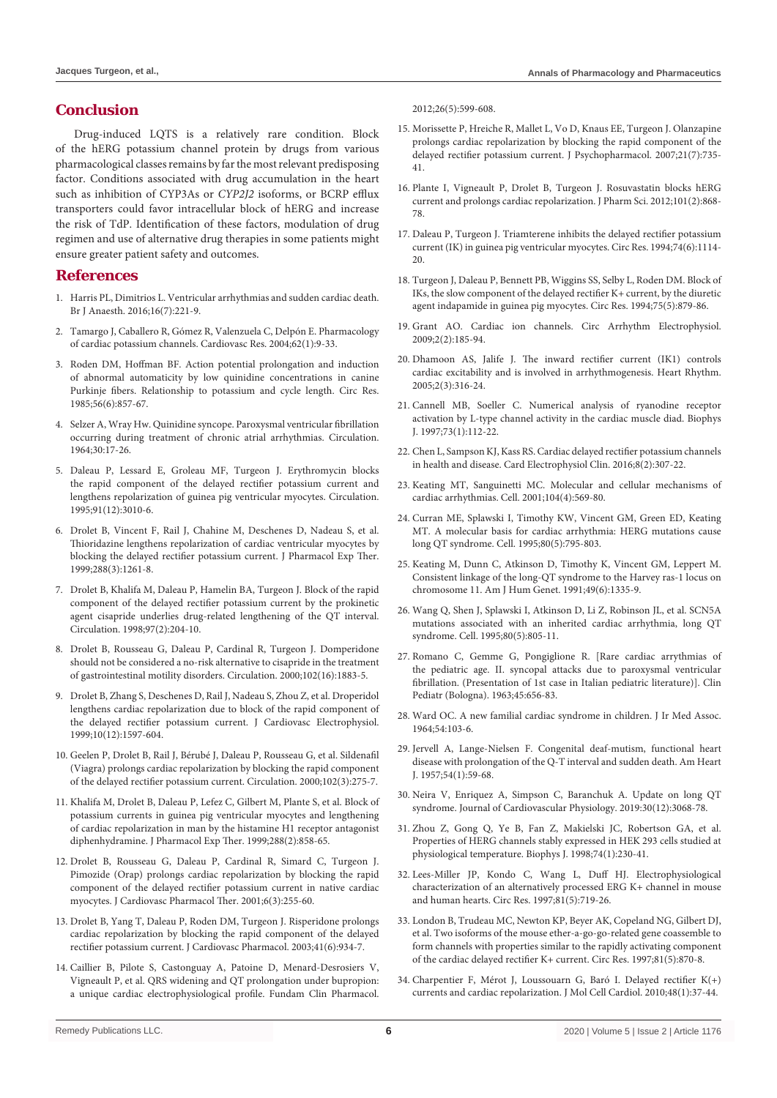## **Conclusion**

Drug-induced LQTS is a relatively rare condition. Block of the hERG potassium channel protein by drugs from various pharmacological classes remains by far the most relevant predisposing factor. Conditions associated with drug accumulation in the heart such as inhibition of CYP3As or *CYP2J2* isoforms, or BCRP efflux transporters could favor intracellular block of hERG and increase the risk of TdP. Identification of these factors, modulation of drug regimen and use of alternative drug therapies in some patients might ensure greater patient safety and outcomes.

## **References**

- 1. [Harris PL, Dimitrios L. Ventricular arrhythmias and sudden cardiac death.](https://bjaed.org/article/S2058-5349(17)30104-X/fulltext)  [Br J Anaesth. 2016;16\(7\):221-9.](https://bjaed.org/article/S2058-5349(17)30104-X/fulltext)
- 2. [Tamargo J, Caballero R, Gómez R, Valenzuela C, Delpón E. Pharmacology](http://www.ncbi.nlm.nih.gov/pubmed/15023549)  [of cardiac potassium channels. Cardiovasc Res. 2004;62\(1\):9-33.](http://www.ncbi.nlm.nih.gov/pubmed/15023549)
- 3. [Roden DM, Hoffman BF. Action potential prolongation and induction](https://www.ncbi.nlm.nih.gov/pubmed/4006095)  [of abnormal automaticity by low quinidine concentrations in canine](https://www.ncbi.nlm.nih.gov/pubmed/4006095)  [Purkinje fibers. Relationship to potassium and cycle length. Circ Res.](https://www.ncbi.nlm.nih.gov/pubmed/4006095)  [1985;56\(6\):857-67.](https://www.ncbi.nlm.nih.gov/pubmed/4006095)
- 4. [Selzer A, Wray Hw. Quinidine syncope. Paroxysmal ventricular fibrillation](https://www.ncbi.nlm.nih.gov/pubmed/14197832)  [occurring during treatment of chronic atrial arrhythmias. Circulation.](https://www.ncbi.nlm.nih.gov/pubmed/14197832)  [1964;30:17-26.](https://www.ncbi.nlm.nih.gov/pubmed/14197832)
- 5. [Daleau P, Lessard E, Groleau MF, Turgeon J. Erythromycin blocks](http://www.ncbi.nlm.nih.gov/pubmed/7796513)  [the rapid component of the delayed rectifier potassium current and](http://www.ncbi.nlm.nih.gov/pubmed/7796513)  [lengthens repolarization of guinea pig ventricular myocytes. Circulation.](http://www.ncbi.nlm.nih.gov/pubmed/7796513)  [1995;91\(12\):3010-6.](http://www.ncbi.nlm.nih.gov/pubmed/7796513)
- 6. [Drolet B, Vincent F, Rail J, Chahine M, Deschenes D, Nadeau S, et al.](https://www.ncbi.nlm.nih.gov/pubmed/10027867)  [Thioridazine lengthens repolarization of cardiac ventricular myocytes by](https://www.ncbi.nlm.nih.gov/pubmed/10027867)  [blocking the delayed rectifier potassium current. J Pharmacol Exp Ther.](https://www.ncbi.nlm.nih.gov/pubmed/10027867)  [1999;288\(3\):1261-8.](https://www.ncbi.nlm.nih.gov/pubmed/10027867)
- 7. [Drolet B, Khalifa M, Daleau P, Hamelin BA, Turgeon J. Block of the rapid](http://www.ncbi.nlm.nih.gov/pubmed/9445174)  [component of the delayed rectifier potassium current by the prokinetic](http://www.ncbi.nlm.nih.gov/pubmed/9445174)  [agent cisapride underlies drug-related lengthening of the QT interval.](http://www.ncbi.nlm.nih.gov/pubmed/9445174)  [Circulation. 1998;97\(2\):204-10.](http://www.ncbi.nlm.nih.gov/pubmed/9445174)
- 8. [Drolet B, Rousseau G, Daleau P, Cardinal R, Turgeon J. Domperidone](https://www.ncbi.nlm.nih.gov/pubmed/11034933)  [should not be considered a no-risk alternative to cisapride in the treatment](https://www.ncbi.nlm.nih.gov/pubmed/11034933)  [of gastrointestinal motility disorders. Circulation. 2000;102\(16\):1883-5.](https://www.ncbi.nlm.nih.gov/pubmed/11034933)
- 9. [Drolet B, Zhang S, Deschenes D, Rail J, Nadeau S, Zhou Z, et al. Droperidol](https://www.ncbi.nlm.nih.gov/pubmed/10636190)  [lengthens cardiac repolarization due to block of the rapid component of](https://www.ncbi.nlm.nih.gov/pubmed/10636190)  [the delayed rectifier potassium current. J Cardiovasc Electrophysiol.](https://www.ncbi.nlm.nih.gov/pubmed/10636190)  [1999;10\(12\):1597-604.](https://www.ncbi.nlm.nih.gov/pubmed/10636190)
- 10. [Geelen P, Drolet B, Rail J, Bérubé J, Daleau P, Rousseau G, et al. Sildenafil](http://www.ncbi.nlm.nih.gov/pubmed/10899088)  [\(Viagra\) prolongs cardiac repolarization by blocking the rapid component](http://www.ncbi.nlm.nih.gov/pubmed/10899088)  [of the delayed rectifier potassium current. Circulation. 2000;102\(3\):275-7.](http://www.ncbi.nlm.nih.gov/pubmed/10899088)
- 11. [Khalifa M, Drolet B, Daleau P, Lefez C, Gilbert M, Plante S, et al. Block of](https://www.ncbi.nlm.nih.gov/pubmed/9918600)  [potassium currents in guinea pig ventricular myocytes and lengthening](https://www.ncbi.nlm.nih.gov/pubmed/9918600)  [of cardiac repolarization in man by the histamine H1 receptor antagonist](https://www.ncbi.nlm.nih.gov/pubmed/9918600)  [diphenhydramine. J Pharmacol Exp Ther. 1999;288\(2\):858-65.](https://www.ncbi.nlm.nih.gov/pubmed/9918600)
- 12. [Drolet B, Rousseau G, Daleau P, Cardinal R, Simard C, Turgeon J.](https://www.ncbi.nlm.nih.gov/pubmed/11584332)  [Pimozide \(Orap\) prolongs cardiac repolarization by blocking the rapid](https://www.ncbi.nlm.nih.gov/pubmed/11584332)  [component of the delayed rectifier potassium current in native cardiac](https://www.ncbi.nlm.nih.gov/pubmed/11584332)  [myocytes. J Cardiovasc Pharmacol Ther. 2001;6\(3\):255-60.](https://www.ncbi.nlm.nih.gov/pubmed/11584332)
- 13. [Drolet B, Yang T, Daleau P, Roden DM, Turgeon J. Risperidone prolongs](https://www.ncbi.nlm.nih.gov/pubmed/12775973)  [cardiac repolarization by blocking the rapid component of the delayed](https://www.ncbi.nlm.nih.gov/pubmed/12775973)  [rectifier potassium current. J Cardiovasc Pharmacol. 2003;41\(6\):934-7.](https://www.ncbi.nlm.nih.gov/pubmed/12775973)
- 14. [Caillier B, Pilote S, Castonguay A, Patoine D, Menard-Desrosiers V,](https://www.ncbi.nlm.nih.gov/pubmed/21623902)  [Vigneault P, et al. QRS widening and QT prolongation under bupropion:](https://www.ncbi.nlm.nih.gov/pubmed/21623902)  [a unique cardiac electrophysiological profile. Fundam Clin Pharmacol.](https://www.ncbi.nlm.nih.gov/pubmed/21623902)

[2012;26\(5\):599-608.](https://www.ncbi.nlm.nih.gov/pubmed/21623902)

- 15. [Morissette P, Hreiche R, Mallet L, Vo D, Knaus EE, Turgeon J. Olanzapine](https://www.ncbi.nlm.nih.gov/pubmed/17092964)  [prolongs cardiac repolarization by blocking the rapid component of the](https://www.ncbi.nlm.nih.gov/pubmed/17092964)  [delayed rectifier potassium current. J Psychopharmacol. 2007;21\(7\):735-](https://www.ncbi.nlm.nih.gov/pubmed/17092964) [41.](https://www.ncbi.nlm.nih.gov/pubmed/17092964)
- 16. [Plante I, Vigneault P, Drolet B, Turgeon J. Rosuvastatin blocks hERG](http://www.ncbi.nlm.nih.gov/pubmed/22081364)  [current and prolongs cardiac repolarization. J Pharm Sci. 2012;101\(2\):868-](http://www.ncbi.nlm.nih.gov/pubmed/22081364) [78.](http://www.ncbi.nlm.nih.gov/pubmed/22081364)
- 17. [Daleau P, Turgeon J. Triamterene inhibits the delayed rectifier potassium](https://www.ncbi.nlm.nih.gov/pubmed/8187277)  [current \(IK\) in guinea pig ventricular myocytes. Circ Res. 1994;74\(6\):1114-](https://www.ncbi.nlm.nih.gov/pubmed/8187277) [20.](https://www.ncbi.nlm.nih.gov/pubmed/8187277)
- 18. [Turgeon J, Daleau P, Bennett PB, Wiggins SS, Selby L, Roden DM. Block of](http://www.ncbi.nlm.nih.gov/pubmed/7923634)  [IKs, the slow component of the delayed rectifier K+ current, by the diuretic](http://www.ncbi.nlm.nih.gov/pubmed/7923634)  [agent indapamide in guinea pig myocytes. Circ Res. 1994;75\(5\):879-86.](http://www.ncbi.nlm.nih.gov/pubmed/7923634)
- 19. [Grant AO. Cardiac ion channels. Circ Arrhythm Electrophysiol.](http://www.ncbi.nlm.nih.gov/pubmed/19808464)  [2009;2\(2\):185-94.](http://www.ncbi.nlm.nih.gov/pubmed/19808464)
- 20. [Dhamoon AS, Jalife J. The inward rectifier current \(IK1\) controls](https://www.ncbi.nlm.nih.gov/pubmed/15851327)  [cardiac excitability and is involved in arrhythmogenesis. Heart Rhythm.](https://www.ncbi.nlm.nih.gov/pubmed/15851327)  [2005;2\(3\):316-24.](https://www.ncbi.nlm.nih.gov/pubmed/15851327)
- 21. [Cannell MB, Soeller C. Numerical analysis of ryanodine receptor](http://www.ncbi.nlm.nih.gov/pubmed/9199776)  [activation by L-type channel activity in the cardiac muscle diad. Biophys](http://www.ncbi.nlm.nih.gov/pubmed/9199776)  [J. 1997;73\(1\):112-22.](http://www.ncbi.nlm.nih.gov/pubmed/9199776)
- 22. [Chen L, Sampson KJ, Kass RS. Cardiac delayed rectifier potassium channels](https://www.ncbi.nlm.nih.gov/pmc/articles/PMC4893812/)  [in health and disease. Card Electrophysiol Clin. 2016;8\(2\):307-22.](https://www.ncbi.nlm.nih.gov/pmc/articles/PMC4893812/)
- 23. [Keating MT, Sanguinetti MC. Molecular and cellular mechanisms of](http://www.ncbi.nlm.nih.gov/pubmed/11239413)  [cardiac arrhythmias. Cell. 2001;104\(4\):569-80.](http://www.ncbi.nlm.nih.gov/pubmed/11239413)
- 24. [Curran ME, Splawski I, Timothy KW, Vincent GM, Green ED, Keating](http://www.ncbi.nlm.nih.gov/pubmed/7889573)  [MT. A molecular basis for cardiac arrhythmia: HERG mutations cause](http://www.ncbi.nlm.nih.gov/pubmed/7889573)  [long QT syndrome. Cell. 1995;80\(5\):795-803.](http://www.ncbi.nlm.nih.gov/pubmed/7889573)
- 25. [Keating M, Dunn C, Atkinson D, Timothy K, Vincent GM, Leppert M.](http://www.ncbi.nlm.nih.gov/pubmed/1746560)  [Consistent linkage of the long-QT syndrome to the Harvey ras-1 locus on](http://www.ncbi.nlm.nih.gov/pubmed/1746560)  [chromosome 11. Am J Hum Genet. 1991;49\(6\):1335-9.](http://www.ncbi.nlm.nih.gov/pubmed/1746560)
- 26. [Wang Q, Shen J, Splawski I, Atkinson D, Li Z, Robinson JL, et al. SCN5A](http://www.ncbi.nlm.nih.gov/pubmed/7889574)  [mutations associated with an inherited cardiac arrhythmia, long QT](http://www.ncbi.nlm.nih.gov/pubmed/7889574)  [syndrome. Cell. 1995;80\(5\):805-11.](http://www.ncbi.nlm.nih.gov/pubmed/7889574)
- 27. [Romano C, Gemme G, Pongiglione R. \[Rare cardiac arrythmias of](https://www.ncbi.nlm.nih.gov/pubmed/14158288)  [the pediatric age. II. syncopal attacks due to paroxysmal ventricular](https://www.ncbi.nlm.nih.gov/pubmed/14158288)  [fibrillation. \(Presentation of 1st case in Italian pediatric literature\)\]. Clin](https://www.ncbi.nlm.nih.gov/pubmed/14158288)  [Pediatr \(Bologna\). 1963;45:656-83.](https://www.ncbi.nlm.nih.gov/pubmed/14158288)
- 28. [Ward OC. A new familial cardiac syndrome in children. J Ir Med Assoc.](http://www.ncbi.nlm.nih.gov/pubmed/14136838)  [1964;54:103-6.](http://www.ncbi.nlm.nih.gov/pubmed/14136838)
- 29. [Jervell A, Lange-Nielsen F. Congenital deaf-mutism, functional heart](http://www.ncbi.nlm.nih.gov/pubmed/13435203)  [disease with prolongation of the Q-T interval and sudden death. Am Heart](http://www.ncbi.nlm.nih.gov/pubmed/13435203)  [J. 1957;54\(1\):59-68.](http://www.ncbi.nlm.nih.gov/pubmed/13435203)
- 30. [Neira V, Enriquez A, Simpson C, Baranchuk A. Update on long QT](https://onlinelibrary.wiley.com/doi/abs/10.1111/jce.14227)  [syndrome. Journal of Cardiovascular Physiology. 2019:30\(12\):3068-78.](https://onlinelibrary.wiley.com/doi/abs/10.1111/jce.14227)
- 31. [Zhou Z, Gong Q, Ye B, Fan Z, Makielski JC, Robertson GA, et al.](http://www.ncbi.nlm.nih.gov/pubmed/9449325)  [Properties of HERG channels stably expressed in HEK 293 cells studied at](http://www.ncbi.nlm.nih.gov/pubmed/9449325)  [physiological temperature. Biophys J. 1998;74\(1\):230-41.](http://www.ncbi.nlm.nih.gov/pubmed/9449325)
- 32. [Lees-Miller JP, Kondo C, Wang L, Duff HJ. Electrophysiological](https://www.ncbi.nlm.nih.gov/pubmed/9351446)  [characterization of an alternatively processed ERG K+ channel in mouse](https://www.ncbi.nlm.nih.gov/pubmed/9351446)  [and human hearts. Circ Res. 1997;81\(5\):719-26.](https://www.ncbi.nlm.nih.gov/pubmed/9351446)
- 33. [London B, Trudeau MC, Newton KP, Beyer AK, Copeland NG, Gilbert DJ,](https://www.ncbi.nlm.nih.gov/pubmed/9351462)  [et al. Two isoforms of the mouse ether-a-go-go-related gene coassemble to](https://www.ncbi.nlm.nih.gov/pubmed/9351462)  [form channels with properties similar to the rapidly activating component](https://www.ncbi.nlm.nih.gov/pubmed/9351462)  [of the cardiac delayed rectifier K+ current. Circ Res. 1997;81\(5\):870-8.](https://www.ncbi.nlm.nih.gov/pubmed/9351462)
- 34. [Charpentier F, Mérot J, Loussouarn G, Baró I. Delayed rectifier K\(+\)](http://www.ncbi.nlm.nih.gov/pubmed/19683534)  [currents and cardiac repolarization. J Mol Cell Cardiol. 2010;48\(1\):37-44.](http://www.ncbi.nlm.nih.gov/pubmed/19683534)